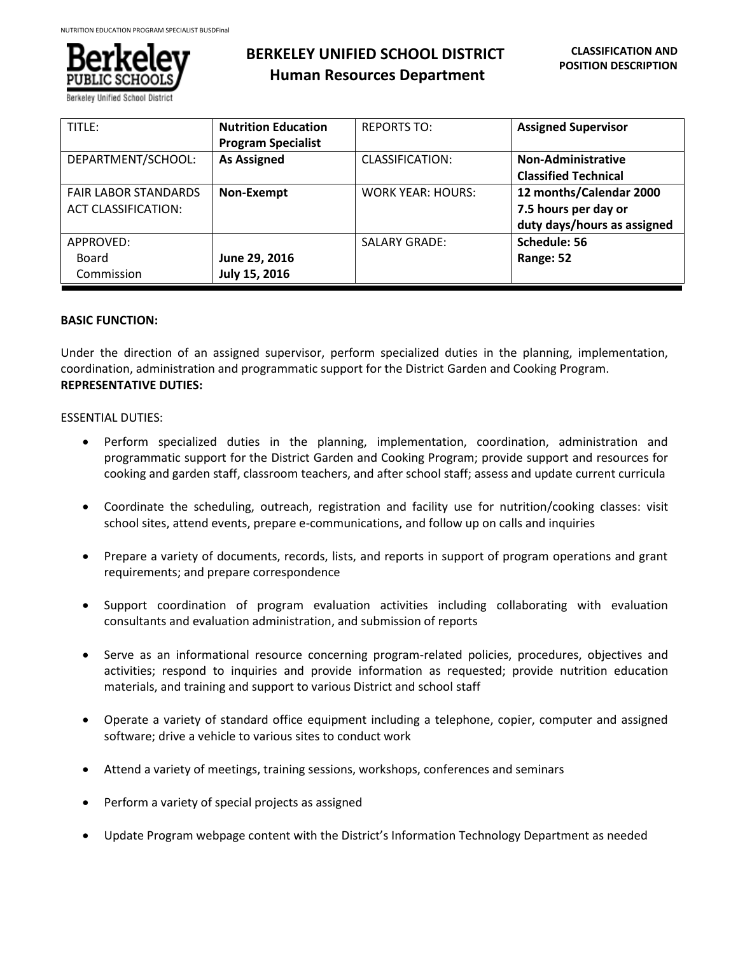

Berkeley Unified School D

# **BERKELEY UNIFIED SCHOOL DISTRICT Human Resources Department**

| TITLE:                      | <b>Nutrition Education</b> | <b>REPORTS TO:</b>       | <b>Assigned Supervisor</b>  |
|-----------------------------|----------------------------|--------------------------|-----------------------------|
|                             | <b>Program Specialist</b>  |                          |                             |
| DEPARTMENT/SCHOOL:          | <b>As Assigned</b>         | <b>CLASSIFICATION:</b>   | Non-Administrative          |
|                             |                            |                          | <b>Classified Technical</b> |
| <b>FAIR LABOR STANDARDS</b> | Non-Exempt                 | <b>WORK YEAR: HOURS:</b> | 12 months/Calendar 2000     |
| <b>ACT CLASSIFICATION:</b>  |                            |                          | 7.5 hours per day or        |
|                             |                            |                          | duty days/hours as assigned |
| APPROVED:                   |                            | <b>SALARY GRADE:</b>     | Schedule: 56                |
| Board                       | June 29, 2016              |                          | Range: 52                   |
| Commission                  | July 15, 2016              |                          |                             |

# **BASIC FUNCTION:**

Under the direction of an assigned supervisor, perform specialized duties in the planning, implementation, coordination, administration and programmatic support for the District Garden and Cooking Program. **REPRESENTATIVE DUTIES:**

# ESSENTIAL DUTIES:

- Perform specialized duties in the planning, implementation, coordination, administration and programmatic support for the District Garden and Cooking Program; provide support and resources for cooking and garden staff, classroom teachers, and after school staff; assess and update current curricula
- Coordinate the scheduling, outreach, registration and facility use for nutrition/cooking classes: visit school sites, attend events, prepare e-communications, and follow up on calls and inquiries
- Prepare a variety of documents, records, lists, and reports in support of program operations and grant requirements; and prepare correspondence
- Support coordination of program evaluation activities including collaborating with evaluation consultants and evaluation administration, and submission of reports
- Serve as an informational resource concerning program-related policies, procedures, objectives and activities; respond to inquiries and provide information as requested; provide nutrition education materials, and training and support to various District and school staff
- Operate a variety of standard office equipment including a telephone, copier, computer and assigned software; drive a vehicle to various sites to conduct work
- Attend a variety of meetings, training sessions, workshops, conferences and seminars
- Perform a variety of special projects as assigned
- Update Program webpage content with the District's Information Technology Department as needed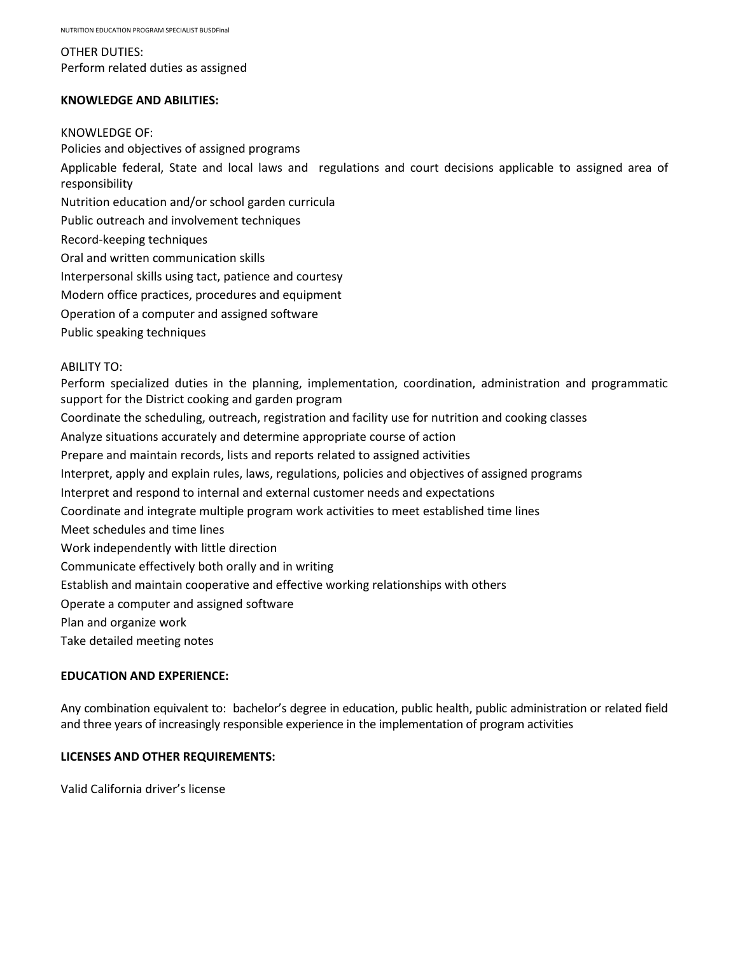OTHER DUTIES: Perform related duties as assigned

# **KNOWLEDGE AND ABILITIES:**

#### KNOWLEDGE OF:

Policies and objectives of assigned programs Applicable federal, State and local laws and regulations and court decisions applicable to assigned area of responsibility Nutrition education and/or school garden curricula Public outreach and involvement techniques Record-keeping techniques Oral and written communication skills Interpersonal skills using tact, patience and courtesy Modern office practices, procedures and equipment Operation of a computer and assigned software Public speaking techniques

# ABILITY TO:

Perform specialized duties in the planning, implementation, coordination, administration and programmatic support for the District cooking and garden program Coordinate the scheduling, outreach, registration and facility use for nutrition and cooking classes Analyze situations accurately and determine appropriate course of action Prepare and maintain records, lists and reports related to assigned activities Interpret, apply and explain rules, laws, regulations, policies and objectives of assigned programs Interpret and respond to internal and external customer needs and expectations Coordinate and integrate multiple program work activities to meet established time lines Meet schedules and time lines Work independently with little direction Communicate effectively both orally and in writing Establish and maintain cooperative and effective working relationships with others Operate a computer and assigned software Plan and organize work Take detailed meeting notes

# **EDUCATION AND EXPERIENCE:**

Any combination equivalent to: bachelor's degree in education, public health, public administration or related field and three years of increasingly responsible experience in the implementation of program activities

# **LICENSES AND OTHER REQUIREMENTS:**

Valid California driver's license